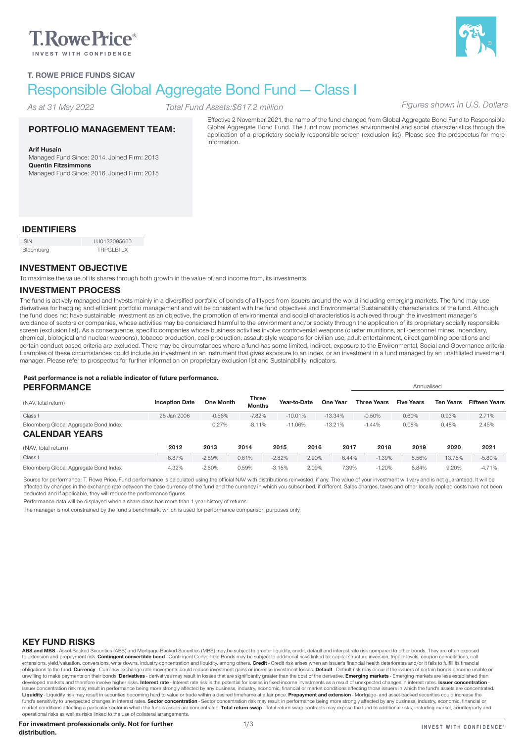# **T.RowePrice**®



# Responsible Global Aggregate Bond Fund — Class I

*As at 31 May 2022*

# *Total Fund Assets:\$617.2 million Figures shown in U.S. Dollars*

#### PORTFOLIO MANAGEMENT TEAM:

Arif Husain Managed Fund Since: 2014, Joined Firm: 2013 Quentin Fitzsimmons Managed Fund Since: 2016, Joined Firm: 2015 Effective 2 November 2021, the name of the fund changed from Global Aggregate Bond Fund to Responsible Global Aggregate Bond Fund. The fund now promotes environmental and social characteristics through the application of a proprietary socially responsible screen (exclusion list). Please see the prospectus for more information.

# IDENTIFIERS

| <b>ISIN</b> | LU0133095660     |
|-------------|------------------|
| Bloomberg   | <b>TRPGLBILX</b> |

### INVESTMENT OBJECTIVE

To maximise the value of its shares through both growth in the value of, and income from, its investments.

#### INVESTMENT PROCESS

The fund is actively managed and Invests mainly in a diversified portfolio of bonds of all types from issuers around the world including emerging markets. The fund may use derivatives for hedging and efficient portfolio management and will be consistent with the fund objectives and Environmental Sustainability characteristics of the fund. Although the fund does not have sustainable investment as an objective, the promotion of environmental and social characteristics is achieved through the investment manager's avoidance of sectors or companies, whose activities may be considered harmful to the environment and/or society through the application of its proprietary socially responsible screen (exclusion list). As a consequence, specific companies whose business activities involve controversial weapons (cluster munitions, anti-personnel mines, incendiary, chemical, biological and nuclear weapons), tobacco production, coal production, assault-style weapons for civilian use, adult entertainment, direct gambling operations and certain conduct-based criteria are excluded. There may be circumstances where a fund has some limited, indirect, exposure to the Environmental, Social and Governance criteria. Examples of these circumstances could include an investment in an instrument that gives exposure to an index, or an investment in a fund managed by an unaffiliated investment manager. Please refer to prospectus for further information on proprietary exclusion list and Sustainability Indicators.

#### Past performance is not a reliable indicator of future performance. PERFORMANCE Annualised

| (NAV, total return)                   | <b>Inception Date</b> | <b>One Month</b> | Three<br><b>Months</b> |           | Year-to-Date | One Year  | <b>Three Years</b> | <b>Five Years</b> | <b>Ten Years</b> | <b>Fifteen Years</b> |
|---------------------------------------|-----------------------|------------------|------------------------|-----------|--------------|-----------|--------------------|-------------------|------------------|----------------------|
| Class I                               | 25 Jan 2006           | $-0.56%$         | $-7.82%$               | $-10.01%$ |              | $-13.34%$ | $-0.50%$           | 0.60%             | 0.93%            | 2.71%                |
| Bloomberg Global Aggregate Bond Index |                       | 0.27%            | $-8.11%$               | $-11.06%$ |              | $-13.21%$ | $-1.44%$           | 0.08%             | 0.48%            | 2.45%                |
| <b>CALENDAR YEARS</b>                 |                       |                  |                        |           |              |           |                    |                   |                  |                      |
| (NAV, total return)                   | 2012                  | 2013             | 2014                   | 2015      | 2016         | 2017      | 2018               | 2019              | 2020             | 2021                 |
| Class I                               | 6.87%                 | $-2.89%$         | 0.61%                  | $-2.82%$  | 2.90%        | 6.44%     | $-1.39%$           | 5.56%             | 13.75%           | $-5.80%$             |
| Bloomberg Global Aggregate Bond Index | 4.32%                 | $-2.60%$         | 0.59%                  | $-3.15%$  | 2.09%        | 7.39%     | $-1.20%$           | 6.84%             | 9.20%            | $-4.71%$             |

Source for performance: T. Rowe Price. Fund performance is calculated using the official NAV with distributions reinvested, if any. The value of your investment will vary and is not guaranteed. It will be affected by changes in the exchange rate between the base currency of the fund and the currency in which you subscribed, if different. Sales charges, taxes and other locally applied costs have not been deducted and if applicable, they will reduce the performance figures.

Performance data will be displayed when a share class has more than 1 year history of returns.

The manager is not constrained by the fund's benchmark, which is used for performance comparison purposes only.

#### KEY FUND RISKS

ABS and MBS - Asset-Backed Securities (ABS) and Mortgage-Backed Securities (MBS) may be subject to greater liquidity, credit, default and interest rate risk compared to other bonds. They are often exposed to extension and prepayment risk. Contingent convertible bond - Contingent Convertible Bonds may be subject to additional risks linked to: capital structure inversion, trigger levels, coupon cancellations, call extensions, yield/valuation, conversions, write downs, industry concentration and liquidity, among others. Credit - Credit risk arises when an issuer's financial health deteriorates and/or it fails to fulfill its financial obligations to the fund. Currency - Currency exchange rate movements could reduce investment gains or increase investment losses. Default - Default risk may occur if the issuers of certain bonds become unable or unwilling to make payments on their bonds. Derivatives - derivatives may result in losses that are significantly greater than the cost of the derivative. Emerging markets - Emerging markets are less established than developed markets and therefore involve higher risks. Interest rate - Interest rate risk is the potential for losses in fixed-income investments as a result of unexpected changes in interest rates. Issuer concentration -Issuer concentration risk may result in performance being more strongly affected by any business, industry, economic, financial or market conditions affecting those issuers in which the fund's assets are concentrated. **Liquidity** - Liquidity risk may result in securities becoming hard to value or trade within a desired timeframe at a fair price. **Prepayment and extension** - Mortgage- and asset-backed securities could increase the<br>fund's market conditions affecting a particular sector in which the fund's assets are concentrated. Total return swap - Total return swap contracts may expose the fund to additional risks, including market, counterparty and operational risks as well as risks linked to the use of collateral arrangements.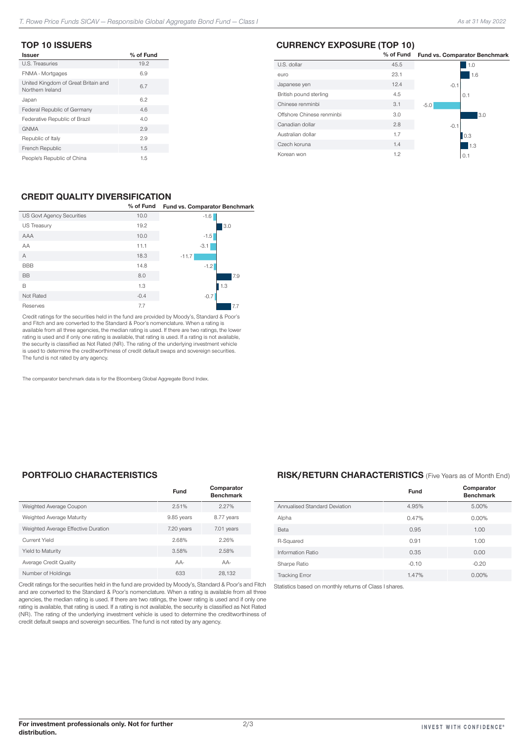#### TOP 10 ISSUERS

| <b>Issuer</b>                                           | % of Fund |
|---------------------------------------------------------|-----------|
| U.S. Treasuries                                         | 19.2      |
| FNMA - Mortgages                                        | 6.9       |
| United Kingdom of Great Britain and<br>Northern Ireland | 6.7       |
| Japan                                                   | 6.2       |
| Federal Republic of Germany                             | 4.6       |
| Federative Republic of Brazil                           | 4.0       |
| <b>GNMA</b>                                             | 2.9       |
| Republic of Italy                                       | 2.9       |
| French Republic                                         | 1.5       |
| People's Republic of China                              | 1.5       |

## CREDIT QUALITY DIVERSIFICATION

|                                  | % of Fund | Fund vs. Comparator Benchmark |
|----------------------------------|-----------|-------------------------------|
| <b>US Govt Agency Securities</b> | 10.0      | $-1.6$                        |
| <b>US Treasury</b>               | 19.2      | 3.0                           |
| AAA                              | 10.0      | $-1.5$                        |
| AA                               | 11.1      | $-3.1$                        |
| A                                | 18.3      | $-11.7$                       |
| <b>BBB</b>                       | 14.8      | $-1.2$                        |
| <b>BB</b>                        | 8.0       | 7.9                           |
| B                                | 1.3       | 1.3                           |
| Not Rated                        | $-0.4$    | $-0.7$                        |
| Reserves                         | 7.7       | 7.7                           |

Credit ratings for the securities held in the fund are provided by Moody's, Standard & Poor's and Fitch and are converted to the Standard & Poor's nomenclature. When a rating is available from all three agencies, the median rating is used. If there are two ratings, the lower rating is used and if only one rating is available, that rating is used. If a rating is not available, the security is classified as Not Rated (NR). The rating of the underlying investment vehicle is used to determine the creditworthiness of credit default swaps and sovereign securities. The fund is not rated by any agency.

The comparator benchmark data is for the Bloomberg Global Aggregate Bond Index.

## PORTFOLIO CHARACTERISTICS

|                                     | <b>Fund</b> | Comparator<br><b>Benchmark</b> |
|-------------------------------------|-------------|--------------------------------|
| Weighted Average Coupon             | 2.51%       | 2.27%                          |
| Weighted Average Maturity           | 9.85 years  | 8.77 years                     |
| Weighted Average Effective Duration | 7.20 years  | 7.01 years                     |
| Current Yield                       | 2.68%       | 2.26%                          |
| Yield to Maturity                   | 3.58%       | 2.58%                          |
| Average Credit Quality              | $AA-$       | $AA-$                          |
| Number of Holdings                  | 633         | 28.132                         |

Credit ratings for the securities held in the fund are provided by Moody's, Standard & Poor's and Fitch Statistics based on monthly returns of Class I shares.and are converted to the Standard & Poor's nomenclature. When a rating is available from all three agencies, the median rating is used. If there are two ratings, the lower rating is used and if only one rating is available, that rating is used. If a rating is not available, the security is classified as Not Rated (NR). The rating of the underlying investment vehicle is used to determine the creditworthiness of credit default swaps and sovereign securities. The fund is not rated by any agency.

## CURRENCY EXPOSURE (TOP 10)

| $\cdots$ . $\cdots$ . $\cdots$ |           |                                      |
|--------------------------------|-----------|--------------------------------------|
|                                | % of Fund | <b>Fund vs. Comparator Benchmark</b> |
| U.S. dollar                    | 45.5      | 1.0                                  |
| euro                           | 23.1      | 1.6                                  |
| Japanese yen                   | 12.4      | $-0.1$                               |
| British pound sterling         | 4.5       | 0.1                                  |
| Chinese renminbi               | 3.1       | $-5.0$                               |
| Offshore Chinese renminbi      | 3.0       | 3.0                                  |
| Canadian dollar                | 2.8       | $-0.1$                               |
| Australian dollar              | 1.7       | 0.3                                  |
| Czech koruna                   | 1.4       | l 1.3                                |
| Korean won                     | 1.2       | 0.1                                  |

#### RISK/RETURN CHARACTERISTICS (Five Years as of Month End)

|                               | Fund    | Comparator<br><b>Benchmark</b> |
|-------------------------------|---------|--------------------------------|
| Annualised Standard Deviation | 4.95%   | 5.00%                          |
| Alpha                         | 0.47%   | $0.00\%$                       |
| Beta                          | 0.95    | 1.00                           |
| R-Squared                     | 0.91    | 1.00                           |
| Information Ratio             | 0.35    | 0.00                           |
| Sharpe Ratio                  | $-0.10$ | $-0.20$                        |
| <b>Tracking Error</b>         | 1.47%   | $0.00\%$                       |